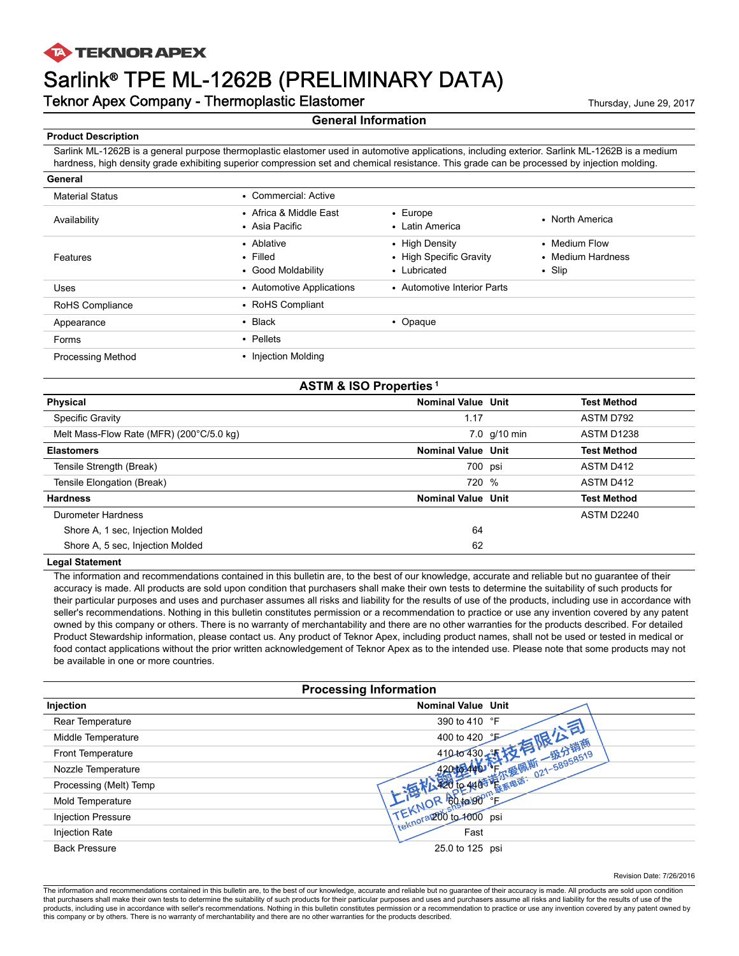## **TA TEKNOR APEX**

# Sarlink® TPE ML-1262B (PRELIMINARY DATA)

**Teknor Apex Company - Thermoplastic Elastomer** Thermone Thursday, June 29, 2017

### **General Information**

**Product Description**

**General**

Sarlink ML-1262B is a general purpose thermoplastic elastomer used in automotive applications, including exterior. Sarlink ML-1262B is a medium hardness, high density grade exhibiting superior compression set and chemical resistance. This grade can be processed by injection molding.

| General                  |                                                    |                                                           |                                                    |
|--------------------------|----------------------------------------------------|-----------------------------------------------------------|----------------------------------------------------|
| <b>Material Status</b>   | • Commercial: Active                               |                                                           |                                                    |
| Availability             | • Africa & Middle East<br>• Asia Pacific           | $\cdot$ Europe<br>• Latin America                         | • North America                                    |
| Features                 | • Ablative<br>$\cdot$ Filled<br>• Good Moldability | • High Density<br>• High Specific Gravity<br>• Lubricated | • Medium Flow<br>• Medium Hardness<br>$\cdot$ Slip |
| <b>Uses</b>              | • Automotive Applications                          | • Automotive Interior Parts                               |                                                    |
| RoHS Compliance          | • RoHS Compliant                                   |                                                           |                                                    |
| Appearance               | $\cdot$ Black                                      | • Opaque                                                  |                                                    |
| Forms                    | • Pellets                                          |                                                           |                                                    |
| <b>Processing Method</b> | • Injection Molding                                |                                                           |                                                    |

| <b>ASTM &amp; ISO Properties<sup>1</sup></b> |                           |                |                    |
|----------------------------------------------|---------------------------|----------------|--------------------|
| Physical                                     | <b>Nominal Value Unit</b> |                | <b>Test Method</b> |
| <b>Specific Gravity</b>                      | 1.17                      |                | ASTM D792          |
| Melt Mass-Flow Rate (MFR) (200°C/5.0 kg)     |                           | $7.0$ g/10 min | <b>ASTM D1238</b>  |
| <b>Elastomers</b>                            | <b>Nominal Value Unit</b> |                | <b>Test Method</b> |
| Tensile Strength (Break)                     | 700 psi                   |                | ASTM D412          |
| Tensile Elongation (Break)                   | 720 %                     |                | ASTM D412          |
| <b>Hardness</b>                              | <b>Nominal Value Unit</b> |                | <b>Test Method</b> |
| Durometer Hardness                           |                           |                | ASTM D2240         |
| Shore A, 1 sec, Injection Molded             | 64                        |                |                    |
| Shore A, 5 sec, Injection Molded             | 62                        |                |                    |

### **Legal Statement**

The information and recommendations contained in this bulletin are, to the best of our knowledge, accurate and reliable but no guarantee of their accuracy is made. All products are sold upon condition that purchasers shall make their own tests to determine the suitability of such products for their particular purposes and uses and purchaser assumes all risks and liability for the results of use of the products, including use in accordance with seller's recommendations. Nothing in this bulletin constitutes permission or a recommendation to practice or use any invention covered by any patent owned by this company or others. There is no warranty of merchantability and there are no other warranties for the products described. For detailed Product Stewardship information, please contact us. Any product of Teknor Apex, including product names, shall not be used or tested in medical or food contact applications without the prior written acknowledgement of Teknor Apex as to the intended use. Please note that some products may not be available in one or more countries.

|                           | <b>Processing Information</b>                     |  |
|---------------------------|---------------------------------------------------|--|
| Injection                 | <b>Nominal Value Unit</b>                         |  |
| Rear Temperature          | 390 to 410 °F                                     |  |
| Middle Temperature        | 400 to 420 LP                                     |  |
| Front Temperature         | 410 to 430                                        |  |
| Nozzle Temperature        |                                                   |  |
| Processing (Melt) Temp    | -4965 黃尔爱佩斯 021-58958519 1-4965 廣东山市 021-58958519 |  |
| Mold Temperature          | <b>IR GO to GO</b> "L                             |  |
| <b>Injection Pressure</b> | TEMpray200 to 1000 psi                            |  |
| <b>Injection Rate</b>     | Fast                                              |  |
| <b>Back Pressure</b>      | 25.0 to 125 psi                                   |  |

Revision Date: 7/26/2016

The information and recommendations contained in this bulletin are, to the best of our knowledge, accurate and reliable but no guarantee of their accuracy is made. All products are sold upon condition that purchasers shall make their own tests to determine the suitability of such products for their particular purposes and uses and purchasers assume all risks and liability for the results of use of the<br>products, includin this company or by others. There is no warranty of merchantability and there are no other warranties for the products described.